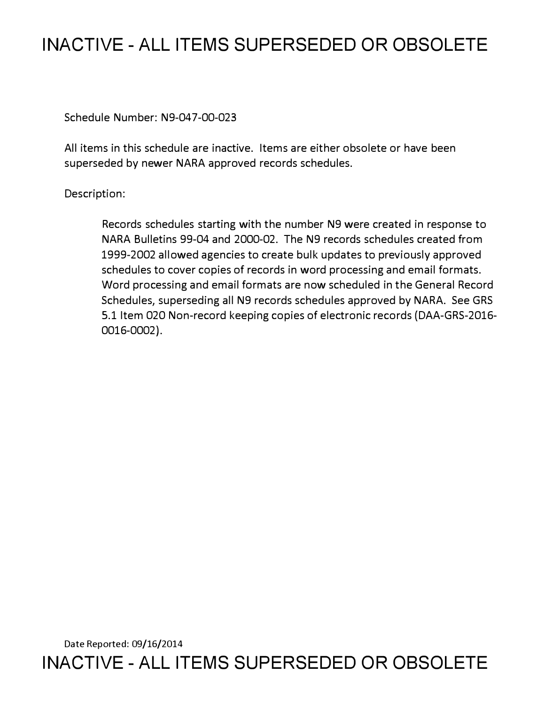# **INACTIVE - ALL ITEMS SUPERSEDED OR OBSOLETE**

Schedule Number: N9-047-00-023

All items in this schedule are inactive. Items are either obsolete or have been superseded by newer NARA approved records schedules.

## Description:

Records schedules starting with the number N9 were created in response to NARA Bulletins 99-04 and 2000-02. The N9 records schedules created from 1999-2002 allowed agencies to create bulk updates to previously approved schedules to cover copies of records in word processing and email formats. Word processing and email formats are now scheduled in the General Record Schedules, superseding all N9 records schedules approved by NARA. See GRS 5.1 Item 020 Non-record keeping copies of electronic records (DAA-GRS-2016- 0016-0002).

Date Reported: 09/16/2014 **INACTIVE - ALL ITEMS SUPERSEDED OR OBSOLETE**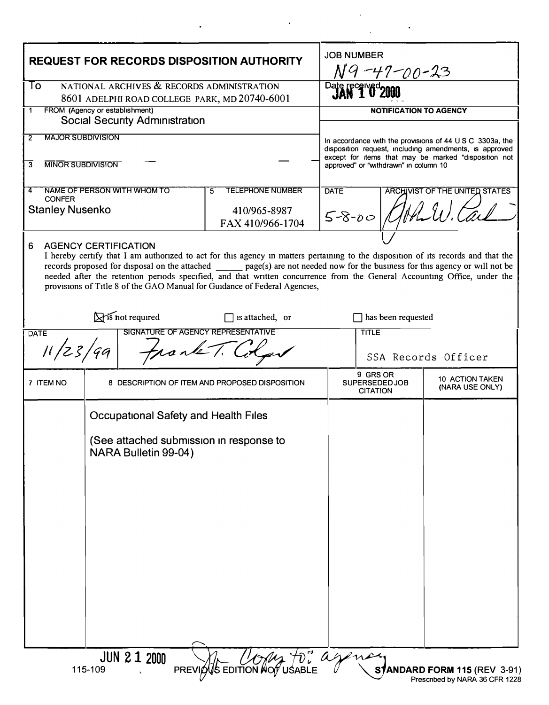| <b>REQUEST FOR RECORDS DISPOSITION AUTHORITY</b>                                                                                                                                                                                                                                                                                                                                                                                                                                                                    |                                                                 |                             |                                                |  | <b>JOB NUMBER</b><br>N9-47-00-23                                                                                                                                                                                    |  |                                                               |  |
|---------------------------------------------------------------------------------------------------------------------------------------------------------------------------------------------------------------------------------------------------------------------------------------------------------------------------------------------------------------------------------------------------------------------------------------------------------------------------------------------------------------------|-----------------------------------------------------------------|-----------------------------|------------------------------------------------|--|---------------------------------------------------------------------------------------------------------------------------------------------------------------------------------------------------------------------|--|---------------------------------------------------------------|--|
| NATIONAL ARCHIVES & RECORDS ADMINISTRATION<br>To<br>8601 ADELPHI ROAD COLLEGE PARK, MD 20740-6001                                                                                                                                                                                                                                                                                                                                                                                                                   |                                                                 |                             |                                                |  | Date received<br>JAN 1 0 2000                                                                                                                                                                                       |  |                                                               |  |
| FROM (Agency or establishment)<br>1<br><b>Social Security Administration</b>                                                                                                                                                                                                                                                                                                                                                                                                                                        |                                                                 |                             |                                                |  | <b>NOTIFICATION TO AGENCY</b>                                                                                                                                                                                       |  |                                                               |  |
| <b>MAJOR SUBDIVISION</b><br>$\overline{2}$                                                                                                                                                                                                                                                                                                                                                                                                                                                                          |                                                                 |                             |                                                |  | In accordance with the provisions of 44 U S C 3303a, the<br>disposition request, including amendments, is approved<br>except for items that may be marked "disposition not<br>approved" or "withdrawn" in column 10 |  |                                                               |  |
| <b>MINOR SUBDIVISION</b><br>3                                                                                                                                                                                                                                                                                                                                                                                                                                                                                       |                                                                 |                             |                                                |  |                                                                                                                                                                                                                     |  |                                                               |  |
| 4<br><b>CONFER</b>                                                                                                                                                                                                                                                                                                                                                                                                                                                                                                  |                                                                 | NAME OF PERSON WITH WHOM TO | <b>TELEPHONE NUMBER</b><br>5                   |  | <b>DATE</b><br><b>ARCHIVIST OF THE UNITED STATES</b>                                                                                                                                                                |  |                                                               |  |
| <b>Stanley Nusenko</b>                                                                                                                                                                                                                                                                                                                                                                                                                                                                                              |                                                                 |                             | 410/965-8987<br>FAX 410/966-1704               |  | $5 - 8 - 00$                                                                                                                                                                                                        |  |                                                               |  |
| 6<br><b>AGENCY CERTIFICATION</b><br>I hereby certify that I am authorized to act for this agency in matters pertaining to the disposition of its records and that the<br>records proposed for disposal on the attached ________ page(s) are not needed now for the business for this agency or will not be<br>needed after the retention periods specified, and that written concurrence from the General Accounting Office, under the<br>provisions of Title 8 of the GAO Manual for Guidance of Federal Agencies, |                                                                 |                             |                                                |  |                                                                                                                                                                                                                     |  |                                                               |  |
| Sis not required<br>is attached, or<br>SIGNATURE OF AGENCY REPRESENTATIVE                                                                                                                                                                                                                                                                                                                                                                                                                                           |                                                                 |                             |                                                |  | has been requested<br><b>TITLE</b>                                                                                                                                                                                  |  |                                                               |  |
| <b>DATE</b><br>11/23/99                                                                                                                                                                                                                                                                                                                                                                                                                                                                                             |                                                                 |                             |                                                |  | SSA Records Officer                                                                                                                                                                                                 |  |                                                               |  |
| 7 ITEM NO                                                                                                                                                                                                                                                                                                                                                                                                                                                                                                           |                                                                 |                             | 8 DESCRIPTION OF ITEM AND PROPOSED DISPOSITION |  | 9 GRS OR<br>SUPERSEDED JOB<br><b>CITATION</b>                                                                                                                                                                       |  | 10 ACTION TAKEN<br>(NARA USE ONLY)                            |  |
|                                                                                                                                                                                                                                                                                                                                                                                                                                                                                                                     | <b>Occupational Safety and Health Files</b>                     |                             |                                                |  |                                                                                                                                                                                                                     |  |                                                               |  |
|                                                                                                                                                                                                                                                                                                                                                                                                                                                                                                                     | (See attached submission in response to<br>NARA Bulletin 99-04) |                             |                                                |  |                                                                                                                                                                                                                     |  |                                                               |  |
|                                                                                                                                                                                                                                                                                                                                                                                                                                                                                                                     |                                                                 |                             |                                                |  |                                                                                                                                                                                                                     |  |                                                               |  |
|                                                                                                                                                                                                                                                                                                                                                                                                                                                                                                                     | 115-109                                                         | <b>JUN 2 1 2000</b>         | PREVIOUS EDITION NOT USABLE                    |  |                                                                                                                                                                                                                     |  | STANDARD FORM 115 (REV 3-91)<br>Preschbed by NARA 36 CFR 1228 |  |

 $\bar{\boldsymbol{\cdot} }$ 

 $\mathcal{L}^{\text{max}}_{\text{max}}$  , where  $\mathcal{L}^{\text{max}}_{\text{max}}$ 

 $\ddot{\phantom{0}}$ 

 $\ddot{\phantom{a}}$ 

 $\ddot{\phantom{0}}$